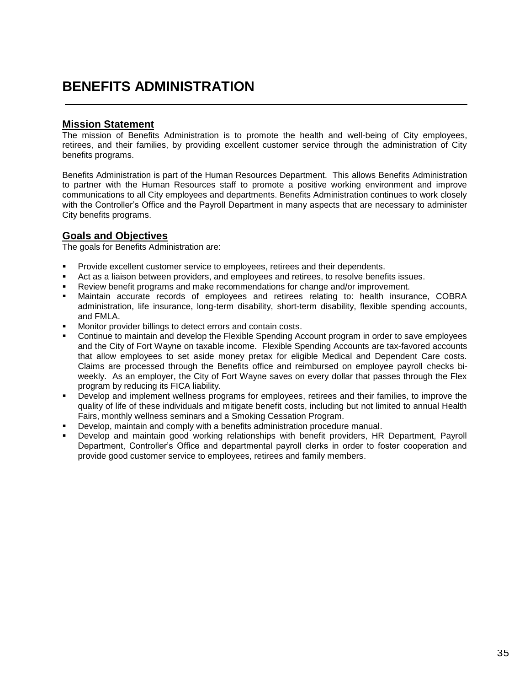## **BENEFITS ADMINISTRATION**

## **Mission Statement**

The mission of Benefits Administration is to promote the health and well-being of City employees, retirees, and their families, by providing excellent customer service through the administration of City benefits programs.

Benefits Administration is part of the Human Resources Department. This allows Benefits Administration to partner with the Human Resources staff to promote a positive working environment and improve communications to all City employees and departments. Benefits Administration continues to work closely with the Controller's Office and the Payroll Department in many aspects that are necessary to administer City benefits programs.

## **Goals and Objectives**

The goals for Benefits Administration are:

- Provide excellent customer service to employees, retirees and their dependents.
- Act as a liaison between providers, and employees and retirees, to resolve benefits issues.
- Review benefit programs and make recommendations for change and/or improvement.
- Maintain accurate records of employees and retirees relating to: health insurance, COBRA administration, life insurance, long-term disability, short-term disability, flexible spending accounts, and FMLA.
- Monitor provider billings to detect errors and contain costs.
- Continue to maintain and develop the Flexible Spending Account program in order to save employees and the City of Fort Wayne on taxable income. Flexible Spending Accounts are tax-favored accounts that allow employees to set aside money pretax for eligible Medical and Dependent Care costs. Claims are processed through the Benefits office and reimbursed on employee payroll checks biweekly. As an employer, the City of Fort Wayne saves on every dollar that passes through the Flex program by reducing its FICA liability.
- Develop and implement wellness programs for employees, retirees and their families, to improve the quality of life of these individuals and mitigate benefit costs, including but not limited to annual Health Fairs, monthly wellness seminars and a Smoking Cessation Program.
- Develop, maintain and comply with a benefits administration procedure manual.
- Develop and maintain good working relationships with benefit providers, HR Department, Payroll Department, Controller's Office and departmental payroll clerks in order to foster cooperation and provide good customer service to employees, retirees and family members.